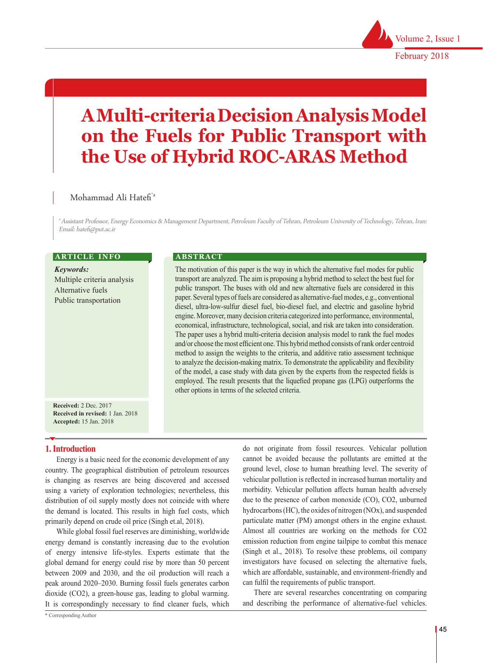# **A Multi-criteria Decision Analysis Model on the Fuels for Public Transport with the Use of Hybrid ROC-ARAS Method**

### Mohammad Ali Hatefi\*a

a Assistant Professor, Energy Economics & Management Department, Petroleum Faculty of Tehran, Petroleum University of Technology, Tehran, Iran: Email: hatefi@put.ac.ir

#### **ARTICLE INFO**

*Keywords:* Multiple criteria analysis Alternative fuels Public transportation

#### **ABSTRACT**

The motivation of this paper is the way in which the alternative fuel modes for public transport are analyzed. The aim is proposing a hybrid method to select the best fuel for public transport. The buses with old and new alternative fuels are considered in this paper. Several types of fuels are considered as alternative-fuel modes, e.g., conventional diesel, ultra-low-sulfur diesel fuel, bio-diesel fuel, and electric and gasoline hybrid engine. Moreover, many decision criteria categorized into performance, environmental, economical, infrastructure, technological, social, and risk are taken into consideration. The paper uses a hybrid multi-criteria decision analysis model to rank the fuel modes and/or choose the most efficient one. This hybrid method consists of rank order centroid method to assign the weights to the criteria, and additive ratio assessment technique to analyze the decision-making matrix. To demonstrate the applicability and flexibility of the model, a case study with data given by the experts from the respected fields is employed. The result presents that the liquefied propane gas (LPG) outperforms the other options in terms of the selected criteria.

**Received:** 2 Dec. 2017 **Received in revised:** 1 Jan. 2018 **Accepted:** 15 Jan. 2018

#### **1. Introduction**

Energy is a basic need for the economic development of any country. The geographical distribution of petroleum resources is changing as reserves are being discovered and accessed using a variety of exploration technologies; nevertheless, this distribution of oil supply mostly does not coincide with where the demand is located. This results in high fuel costs, which primarily depend on crude oil price (Singh et.al, 2018).

While global fossil fuel reserves are diminishing, worldwide energy demand is constantly increasing due to the evolution of energy intensive life-styles. Experts estimate that the global demand for energy could rise by more than 50 percent between 2009 and 2030, and the oil production will reach a peak around 2020–2030. Burning fossil fuels generates carbon dioxide (CO2), a green-house gas, leading to global warming. It is correspondingly necessary to find cleaner fuels, which

do not originate from fossil resources. Vehicular pollution cannot be avoided because the pollutants are emitted at the ground level, close to human breathing level. The severity of vehicular pollution is reflected in increased human mortality and morbidity. Vehicular pollution affects human health adversely due to the presence of carbon monoxide (CO), CO2, unburned hydrocarbons (HC), the oxides of nitrogen (NOx), and suspended particulate matter (PM) amongst others in the engine exhaust. Almost all countries are working on the methods for CO2 emission reduction from engine tailpipe to combat this menace (Singh et al., 2018). To resolve these problems, oil company investigators have focused on selecting the alternative fuels, which are affordable, sustainable, and environment-friendly and can fulfil the requirements of public transport.

There are several researches concentrating on comparing and describing the performance of alternative-fuel vehicles.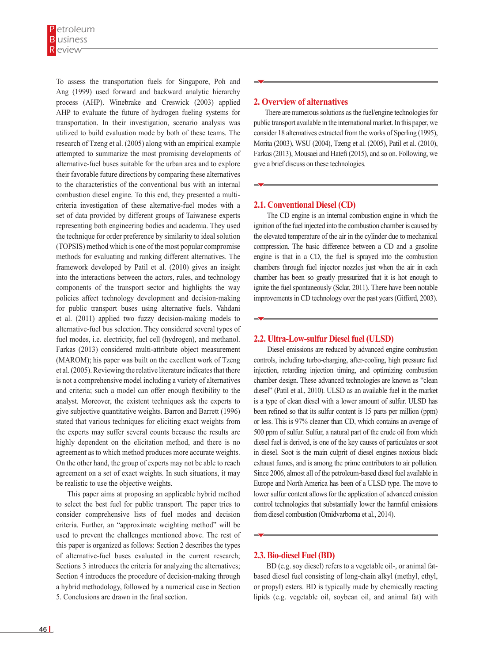To assess the transportation fuels for Singapore, Poh and Ang (1999) used forward and backward analytic hierarchy process (AHP). Winebrake and Creswick (2003) applied AHP to evaluate the future of hydrogen fueling systems for transportation. In their investigation, scenario analysis was utilized to build evaluation mode by both of these teams. The research of Tzeng et al. (2005) along with an empirical example attempted to summarize the most promising developments of alternative-fuel buses suitable for the urban area and to explore their favorable future directions by comparing these alternatives to the characteristics of the conventional bus with an internal combustion diesel engine. To this end, they presented a multicriteria investigation of these alternative-fuel modes with a set of data provided by different groups of Taiwanese experts representing both engineering bodies and academia. They used the technique for order preference by similarity to ideal solution (TOPSIS) method which is one of the most popular compromise methods for evaluating and ranking different alternatives. The framework developed by Patil et al. (2010) gives an insight into the interactions between the actors, rules, and technology components of the transport sector and highlights the way policies affect technology development and decision-making for public transport buses using alternative fuels. Vahdani et al. (2011) applied two fuzzy decision-making models to alternative-fuel bus selection. They considered several types of fuel modes, i.e. electricity, fuel cell (hydrogen), and methanol. Farkas (2013) considered multi-attribute object measurement (MAROM); his paper was built on the excellent work of Tzeng et al. (2005). Reviewing the relative literature indicates that there is not a comprehensive model including a variety of alternatives and criteria; such a model can offer enough flexibility to the analyst. Moreover, the existent techniques ask the experts to give subjective quantitative weights. Barron and Barrett (1996) stated that various techniques for eliciting exact weights from the experts may suffer several counts because the results are highly dependent on the elicitation method, and there is no agreement as to which method produces more accurate weights. On the other hand, the group of experts may not be able to reach agreement on a set of exact weights. In such situations, it may be realistic to use the objective weights.

This paper aims at proposing an applicable hybrid method to select the best fuel for public transport. The paper tries to consider comprehensive lists of fuel modes and decision criteria. Further, an "approximate weighting method" will be used to prevent the challenges mentioned above. The rest of this paper is organized as follows: Section 2 describes the types of alternative-fuel buses evaluated in the current research; Sections 3 introduces the criteria for analyzing the alternatives; Section 4 introduces the procedure of decision-making through a hybrid methodology, followed by a numerical case in Section 5. Conclusions are drawn in the final section.

#### **2. Overview of alternatives**

There are numerous solutions as the fuel/engine technologies for public transport available in the international market. In this paper, we consider 18 alternatives extracted from the works of Sperling (1995), Morita (2003), WSU (2004), Tzeng et al. (2005), Patil et al. (2010), Farkas (2013), Mousaei and Hatefi (2015), and so on. Following, we give a brief discuss on these technologies.

#### **2.1. Conventional Diesel (CD)**

 The CD engine is an internal combustion engine in which the ignition of the fuel injected into the combustion chamber is caused by the elevated temperature of the air in the cylinder due to mechanical compression. The basic difference between a CD and a gasoline engine is that in a CD, the fuel is sprayed into the combustion chambers through fuel injector nozzles just when the air in each chamber has been so greatly pressurized that it is hot enough to ignite the fuel spontaneously (Sclar, 2011). There have been notable improvements in CD technology over the past years (Gifford, 2003).

#### **2.2. Ultra-Low-sulfur Diesel fuel (ULSD)**

 Diesel emissions are reduced by advanced engine combustion controls, including turbo-charging, after-cooling, high pressure fuel injection, retarding injection timing, and optimizing combustion chamber design. These advanced technologies are known as "clean diesel" (Patil et al., 2010). ULSD as an available fuel in the market is a type of clean diesel with a lower amount of sulfur. ULSD has been refined so that its sulfur content is 15 parts per million (ppm) or less. This is 97% cleaner than CD, which contains an average of 500 ppm of sulfur. Sulfur, a natural part of the crude oil from which diesel fuel is derived, is one of the key causes of particulates or soot in diesel. Soot is the main culprit of diesel engines noxious black exhaust fumes, and is among the prime contributors to air pollution. Since 2006, almost all of the petroleum-based diesel fuel available in Europe and North America has been of a ULSD type. The move to lower sulfur content allows for the application of advanced emission control technologies that substantially lower the harmful emissions from diesel combustion (Omidvarborna et al., 2014).

#### **2.3. Bio-diesel Fuel (BD)**

 BD (e.g. soy diesel) refers to a vegetable oil-, or animal fatbased diesel fuel consisting of long-chain alkyl (methyl, ethyl, or propyl) esters. BD is typically made by chemically reacting lipids (e.g. vegetable oil, soybean oil, and animal fat) with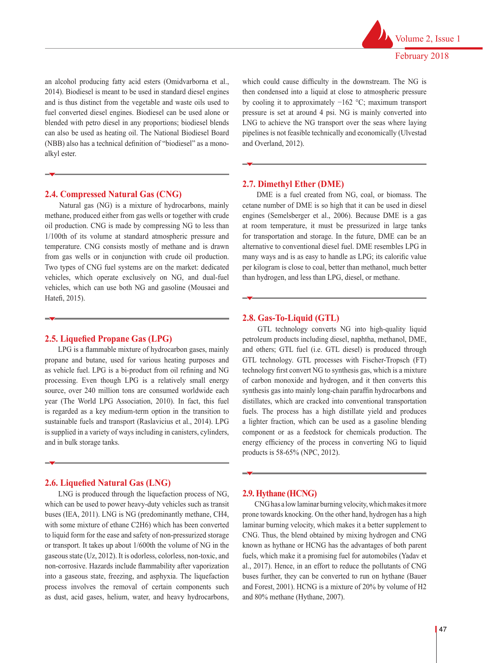

an alcohol producing fatty acid esters (Omidvarborna et al., 2014). Biodiesel is meant to be used in standard diesel engines and is thus distinct from the vegetable and waste oils used to fuel converted diesel engines. Biodiesel can be used alone or blended with petro diesel in any proportions; biodiesel blends can also be used as heating oil. The National Biodiesel Board (NBB) also has a technical definition of "biodiesel" as a monoalkyl ester.

#### **2.4. Compressed Natural Gas (CNG)**

 Natural gas (NG) is a mixture of hydrocarbons, mainly methane, produced either from gas wells or together with crude oil production. CNG is made by compressing NG to less than 1/100th of its volume at standard atmospheric pressure and temperature. CNG consists mostly of methane and is drawn from gas wells or in conjunction with crude oil production. Two types of CNG fuel systems are on the market: dedicated vehicles, which operate exclusively on NG, and dual-fuel vehicles, which can use both NG and gasoline (Mousaei and Hatefi, 2015).

#### **2.5. Liquefied Propane Gas (LPG)**

 LPG is a flammable mixture of hydrocarbon gases, mainly propane and butane, used for various heating purposes and as vehicle fuel. LPG is a bi-product from oil refining and NG processing. Even though LPG is a relatively small energy source, over 240 million tons are consumed worldwide each year (The World LPG Association, 2010). In fact, this fuel is regarded as a key medium-term option in the transition to sustainable fuels and transport (Raslavicius et al., 2014). LPG is supplied in a variety of ways including in canisters, cylinders, and in bulk storage tanks.

#### **2.6. Liquefied Natural Gas (LNG)**

 LNG is produced through the liquefaction process of NG, which can be used to power heavy-duty vehicles such as transit buses (IEA, 2011). LNG is NG (predominantly methane, CH4, with some mixture of ethane C2H6) which has been converted to liquid form for the ease and safety of non-pressurized storage or transport. It takes up about 1/600th the volume of NG in the gaseous state (Uz, 2012). It is odorless, colorless, non-toxic, and non-corrosive. Hazards include flammability after vaporization into a gaseous state, freezing, and asphyxia. The liquefaction process involves the removal of certain components such as dust, acid gases, helium, water, and heavy hydrocarbons,

which could cause difficulty in the downstream. The NG is then condensed into a liquid at close to atmospheric pressure by cooling it to approximately −162 °C; maximum transport pressure is set at around 4 psi. NG is mainly converted into LNG to achieve the NG transport over the seas where laying pipelines is not feasible technically and economically (Ulvestad and Overland, 2012).

#### **2.7. Dimethyl Ether (DME)**

 DME is a fuel created from NG, coal, or biomass. The cetane number of DME is so high that it can be used in diesel engines (Semelsberger et al., 2006). Because DME is a gas at room temperature, it must be pressurized in large tanks for transportation and storage. In the future, DME can be an alternative to conventional diesel fuel. DME resembles LPG in many ways and is as easy to handle as LPG; its calorific value per kilogram is close to coal, better than methanol, much better than hydrogen, and less than LPG, diesel, or methane.

#### **2.8. Gas-To-Liquid (GTL)**

 GTL technology converts NG into high-quality liquid petroleum products including diesel, naphtha, methanol, DME, and others; GTL fuel (i.e. GTL diesel) is produced through GTL technology. GTL processes with Fischer-Tropsch (FT) technology first convert NG to synthesis gas, which is a mixture of carbon monoxide and hydrogen, and it then converts this synthesis gas into mainly long-chain paraffin hydrocarbons and distillates, which are cracked into conventional transportation fuels. The process has a high distillate yield and produces a lighter fraction, which can be used as a gasoline blending component or as a feedstock for chemicals production. The energy efficiency of the process in converting NG to liquid products is 58-65% (NPC, 2012).

#### **2.9. Hythane (HCNG)**

 CNG has a low laminar burning velocity, which makes it more prone towards knocking. On the other hand, hydrogen has a high laminar burning velocity, which makes it a better supplement to CNG. Thus, the blend obtained by mixing hydrogen and CNG known as hythane or HCNG has the advantages of both parent fuels, which make it a promising fuel for automobiles (Yadav et al., 2017). Hence, in an effort to reduce the pollutants of CNG buses further, they can be converted to run on hythane (Bauer and Forest, 2001). HCNG is a mixture of 20% by volume of H2 and 80% methane (Hythane, 2007).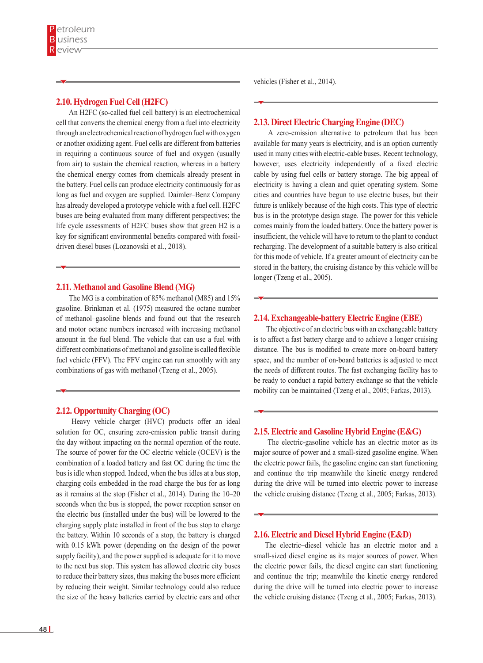#### **2.10. Hydrogen Fuel Cell (H2FC)**

 An H2FC (so-called fuel cell battery) is an electrochemical cell that converts the chemical energy from a fuel into electricity through an electrochemical reaction of hydrogen fuel with oxygen or another oxidizing agent. Fuel cells are different from batteries in requiring a continuous source of fuel and oxygen (usually from air) to sustain the chemical reaction, whereas in a battery the chemical energy comes from chemicals already present in the battery. Fuel cells can produce electricity continuously for as long as fuel and oxygen are supplied. Daimler–Benz Company has already developed a prototype vehicle with a fuel cell. H2FC buses are being evaluated from many different perspectives; the life cycle assessments of H2FC buses show that green H2 is a key for significant environmental benefits compared with fossildriven diesel buses (Lozanovski et al., 2018).

#### **2.11. Methanol and Gasoline Blend (MG)**

 The MG is a combination of 85% methanol (M85) and 15% gasoline. Brinkman et al. (1975) measured the octane number of methanol–gasoline blends and found out that the research and motor octane numbers increased with increasing methanol amount in the fuel blend. The vehicle that can use a fuel with different combinations of methanol and gasoline is called flexible fuel vehicle (FFV). The FFV engine can run smoothly with any combinations of gas with methanol (Tzeng et al., 2005).

#### **2.12. Opportunity Charging (OC)**

 Heavy vehicle charger (HVC) products offer an ideal solution for OC, ensuring zero-emission public transit during the day without impacting on the normal operation of the route. The source of power for the OC electric vehicle (OCEV) is the combination of a loaded battery and fast OC during the time the bus is idle when stopped. Indeed, when the bus idles at a bus stop, charging coils embedded in the road charge the bus for as long as it remains at the stop (Fisher et al., 2014). During the 10–20 seconds when the bus is stopped, the power reception sensor on the electric bus (installed under the bus) will be lowered to the charging supply plate installed in front of the bus stop to charge the battery. Within 10 seconds of a stop, the battery is charged with 0.15 kWh power (depending on the design of the power supply facility), and the power supplied is adequate for it to move to the next bus stop. This system has allowed electric city buses to reduce their battery sizes, thus making the buses more efficient by reducing their weight. Similar technology could also reduce the size of the heavy batteries carried by electric cars and other

vehicles (Fisher et al., 2014).

#### **2.13. Direct Electric Charging Engine (DEC)**

 A zero-emission alternative to petroleum that has been available for many years is electricity, and is an option currently used in many cities with electric-cable buses. Recent technology, however, uses electricity independently of a fixed electric cable by using fuel cells or battery storage. The big appeal of electricity is having a clean and quiet operating system. Some cities and countries have begun to use electric buses, but their future is unlikely because of the high costs. This type of electric bus is in the prototype design stage. The power for this vehicle comes mainly from the loaded battery. Once the battery power is insufficient, the vehicle will have to return to the plant to conduct recharging. The development of a suitable battery is also critical for this mode of vehicle. If a greater amount of electricity can be stored in the battery, the cruising distance by this vehicle will be longer (Tzeng et al., 2005).

#### **2.14. Exchangeable-battery Electric Engine (EBE)**

 The objective of an electric bus with an exchangeable battery is to affect a fast battery charge and to achieve a longer cruising distance. The bus is modified to create more on-board battery space, and the number of on-board batteries is adjusted to meet the needs of different routes. The fast exchanging facility has to be ready to conduct a rapid battery exchange so that the vehicle mobility can be maintained (Tzeng et al., 2005; Farkas, 2013).

#### **2.15. Electric and Gasoline Hybrid Engine (E&G)**

 The electric-gasoline vehicle has an electric motor as its major source of power and a small-sized gasoline engine. When the electric power fails, the gasoline engine can start functioning and continue the trip meanwhile the kinetic energy rendered during the drive will be turned into electric power to increase the vehicle cruising distance (Tzeng et al., 2005; Farkas, 2013).

#### **2.16. Electric and Diesel Hybrid Engine (E&D)**

The electric–diesel vehicle has an electric motor and a small-sized diesel engine as its major sources of power. When the electric power fails, the diesel engine can start functioning and continue the trip; meanwhile the kinetic energy rendered during the drive will be turned into electric power to increase the vehicle cruising distance (Tzeng et al., 2005; Farkas, 2013).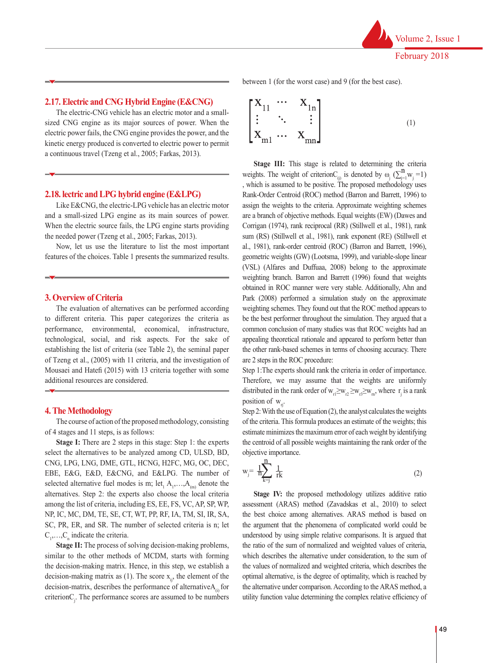#### **2.17. Electric and CNG Hybrid Engine (E&CNG)**

The electric-CNG vehicle has an electric motor and a smallsized CNG engine as its major sources of power. When the electric power fails, the CNG engine provides the power, and the kinetic energy produced is converted to electric power to permit a continuous travel (Tzeng et al., 2005; Farkas, 2013).

#### **2.18. lectric and LPG hybrid engine (E&LPG)**

Like E&CNG, the electric-LPG vehicle has an electric motor and a small-sized LPG engine as its main sources of power. When the electric source fails, the LPG engine starts providing the needed power (Tzeng et al., 2005; Farkas, 2013).

Now, let us use the literature to list the most important features of the choices. Table 1 presents the summarized results.

#### **3. Overview of Criteria**

The evaluation of alternatives can be performed according to different criteria. This paper categorizes the criteria as performance, environmental, economical, infrastructure, technological, social, and risk aspects. For the sake of establishing the list of criteria (see Table 2), the seminal paper of Tzeng et al., (2005) with 11 criteria, and the investigation of Mousaei and Hatefi (2015) with 13 criteria together with some additional resources are considered.

#### **4. The Methodology**

The course of action of the proposed methodology, consisting of 4 stages and 11 steps, is as follows:

**Stage I:** There are 2 steps in this stage: Step 1: the experts select the alternatives to be analyzed among CD, ULSD, BD, CNG, LPG, LNG, DME, GTL, HCNG, H2FC, MG, OC, DEC, EBE, E&G, E&D, E&CNG, and E&LPG. The number of selected alternative fuel modes is m; let<sub>1</sub>  $A_1, \ldots, A_{(m)}$  denote the alternatives. Step 2: the experts also choose the local criteria among the list of criteria, including ES, EE, FS, VC, AP, SP, WP, NP, IC, MC, DM, TE, SE, CT, WT, PP, RF, IA, TM, SI, IR, SA, SC, PR, ER, and SR. The number of selected criteria is n; let  $C_1, \ldots, C_n$  indicate the criteria.

**Stage II:** The process of solving decision-making problems, similar to the other methods of MCDM, starts with forming the decision-making matrix. Hence, in this step, we establish a decision-making matrix as (1). The score  $x_{ij}$ , the element of the decision-matrix, describes the performance of alternative $A_{\alpha}$  for criterionC<sub>j</sub>. The performance scores are assumed to be numbers between 1 (for the worst case) and 9 (for the best case).

$$
\begin{bmatrix}\nX_{11} & \cdots & X_{1n} \\
\vdots & \ddots & \vdots \\
X_{m1} & \cdots & X_{mn}\n\end{bmatrix}
$$
\n(1)

**Stage III:** This stage is related to determining the criteria weights. The weight of criterion $C_{(j)}$  is denoted by  $\omega_j$  ( $\sum_{j=1}^{N}$  $w_j$  = 1) , which is assumed to be positive. The proposed methodology uses Rank-Order Centroid (ROC) method (Barron and Barrett, 1996) to assign the weights to the criteria. Approximate weighting schemes are a branch of objective methods. Equal weights (EW) (Dawes and Corrigan (1974), rank reciprocal (RR) (Stillwell et al., 1981), rank sum (RS) (Stillwell et al., 1981), rank exponent (RE) (Stillwell et al., 1981), rank-order centroid (ROC) (Barron and Barrett, 1996), geometric weights (GW) (Lootsma, 1999), and variable-slope linear (VSL) (Alfares and Duffuaa, 2008) belong to the approximate weighting branch. Barron and Barrett (1996) found that weights obtained in ROC manner were very stable. Additionally, Ahn and Park (2008) performed a simulation study on the approximate weighting schemes. They found out that the ROC method appears to be the best performer throughout the simulation. They argued that a common conclusion of many studies was that ROC weights had an appealing theoretical rationale and appeared to perform better than the other rank-based schemes in terms of choosing accuracy. There are 2 steps in the ROC procedure:

Step 1:The experts should rank the criteria in order of importance. Therefore, we may assume that the weights are uniformly distributed in the rank order of  $w_{r1} \geq w_{r2} \geq w_{r3} \geq w_{m}$ , where  $r_j$  is a rank position of  $w_{\pi}$ .

Step 2: With the use of Equation (2), the analyst calculates the weights of the criteria. This formula produces an estimate of the weights; this estimate minimizes the maximum error of each weight by identifying the centroid of all possible weights maintaining the rank order of the objective importance.

$$
w_j = \frac{1}{n} \sum_{k=j}^{n} \frac{1}{rk}
$$
 (2)

**Stage IV:** the proposed methodology utilizes additive ratio assessment (ARAS) method (Zavadskas et al., 2010) to select the best choice among alternatives. ARAS method is based on the argument that the phenomena of complicated world could be understood by using simple relative comparisons. It is argued that the ratio of the sum of normalized and weighted values of criteria, which describes the alternative under consideration, to the sum of the values of normalized and weighted criteria, which describes the optimal alternative, is the degree of optimality, which is reached by the alternative under comparison. According to the ARAS method, a utility function value determining the complex relative efficiency of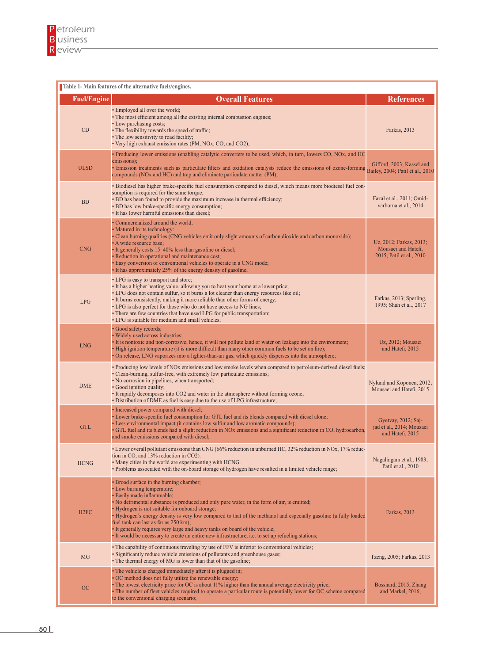| Table 1- Main features of the alternative fuels/engines. |                                                                                                                                                                                                                                                                                                                                                                                                                                                                                                                                                                                                              |                                                                            |  |  |  |  |  |
|----------------------------------------------------------|--------------------------------------------------------------------------------------------------------------------------------------------------------------------------------------------------------------------------------------------------------------------------------------------------------------------------------------------------------------------------------------------------------------------------------------------------------------------------------------------------------------------------------------------------------------------------------------------------------------|----------------------------------------------------------------------------|--|--|--|--|--|
| <b>Fuel/Engine</b>                                       | <b>Overall Features</b>                                                                                                                                                                                                                                                                                                                                                                                                                                                                                                                                                                                      | <b>References</b>                                                          |  |  |  |  |  |
| CD                                                       | • Employed all over the world;<br>• The most efficient among all the existing internal combustion engines;<br>• Low purchasing costs;<br>• The flexibility towards the speed of traffic;<br>• The low sensitivity to road facility;<br>• Very high exhaust emission rates (PM, NOx, CO, and CO2);                                                                                                                                                                                                                                                                                                            | Farkas, 2013                                                               |  |  |  |  |  |
| <b>ULSD</b>                                              | • Producing lower emissions (enabling catalytic converters to be used, which, in turn, lowers CO, NOx, and HC<br>emissions);<br>• Emission treatments such as particulate filters and oxidation catalysts reduce the emissions of ozone-forming Bailey, 2004; Patil et al., 2010<br>compounds (NOx and HC) and trap and eliminate particulate matter (PM);                                                                                                                                                                                                                                                   |                                                                            |  |  |  |  |  |
| <b>BD</b>                                                | • Biodiesel has higher brake-specific fuel consumption compared to diesel, which means more biodiesel fuel con-<br>sumption is required for the same torque;<br>• BD has been found to provide the maximum increase in thermal efficiency;<br>• BD has low brake-specific energy consumption;<br>• It has lower harmful emissions than diesel;                                                                                                                                                                                                                                                               | Fazal et al., 2011; Omid-<br>varborna et al., 2014                         |  |  |  |  |  |
| <b>CNG</b>                                               | • Commercialized around the world;<br>• Matured in its technology:<br>• Clean burning qualities (CNG vehicles emit only slight amounts of carbon dioxide and carbon monoxide);<br>· A wide resource base;<br>• It generally costs 15-40% less than gasoline or diesel;<br>· Reduction in operational and maintenance cost;<br>• Easy conversion of conventional vehicles to operate in a CNG mode;<br>• It has approximately 25% of the energy density of gasoline;                                                                                                                                          | Uz, 2012; Farkas, 2013;<br>Mousaei and Hatefi,<br>2015; Patil et al., 2010 |  |  |  |  |  |
| LPG                                                      | • LPG is easy to transport and store;<br>• It has a higher heating value, allowing you to heat your home at a lower price;<br>• LPG does not contain sulfur, so it burns a lot cleaner than energy resources like oil;<br>• It burns consistently, making it more reliable than other forms of energy;<br>• LPG is also perfect for those who do not have access to NG lines;<br>• There are few countries that have used LPG for public transportation;<br>• LPG is suitable for medium and small vehicles;                                                                                                 | Farkas, 2013; Sperling,<br>1995; Shah et al., 2017                         |  |  |  |  |  |
| <b>LNG</b>                                               | · Good safety records;<br>· Widely used across industries;<br>• It is nontoxic and non-corrosive; hence, it will not pollute land or water on leakage into the environment;<br>• High ignition temperature (it is more difficult than many other common fuels to be set on fire);<br>• On release, LNG vaporizes into a lighter-than-air gas, which quickly disperses into the atmosphere;                                                                                                                                                                                                                   | Uz, 2012; Mousaei<br>and Hatefi, 2015                                      |  |  |  |  |  |
| <b>DME</b>                                               | • Producing low levels of NOx emissions and low smoke levels when compared to petroleum-derived diesel fuels;<br>• Clean-burning, sulfur-free, with extremely low particulate emissions;<br>• No corrosion in pipelines, when transported;<br>• Good ignition quality;<br>• It rapidly decomposes into CO2 and water in the atmosphere without forming ozone;<br>• Distribution of DME as fuel is easy due to the use of LPG infrastructure;                                                                                                                                                                 | Nylund and Koponen, 2012;<br>Mousaei and Hatefi, 2015                      |  |  |  |  |  |
| <b>GTL</b>                                               | · Increased power compared with diesel;<br>• Lower brake-specific fuel consumption for GTL fuel and its blends compared with diesel alone;<br>• Less environmental impact (it contains low sulfur and low aromatic compounds);<br>· GTL fuel and its blends had a slight reduction in NOx emissions and a significant reduction in CO, hydrocarbon,<br>and smoke emissions compared with diesel;                                                                                                                                                                                                             | Gyetvay, 2012; Saj-<br>jad et al., 2014; Mousaei<br>and Hatefi, 2015       |  |  |  |  |  |
| <b>HCNG</b>                                              | • Lower overall pollutant emissions than CNG (66% reduction in unburned HC, 32% reduction in NOx, 17% reduc-<br>tion in CO, and 13% reduction in CO2).<br>• Many cities in the world are experimenting with HCNG.<br>• Problems associated with the on-board storage of hydrogen have resulted in a limited vehicle range;                                                                                                                                                                                                                                                                                   | Nagalingam et al., 1983;<br>Patil et al., 2010                             |  |  |  |  |  |
| H <sub>2</sub> FC                                        | • Broad surface in the burning chamber;<br>• Low burning temperature;<br>· Easily made inflammable;<br>• No detrimental substance is produced and only pure water, in the form of air, is emitted;<br>· Hydrogen is not suitable for onboard storage;<br>• Hydrogen's energy density is very low compared to that of the methanol and especially gasoline (a fully loaded<br>fuel tank can last as far as 250 km);<br>• It generally requires very large and heavy tanks on board of the vehicle;<br>It would be necessary to create an entire new infrastructure, <i>i.e.</i> to set up refueling stations; | Farkas, 2013                                                               |  |  |  |  |  |
| <b>MG</b>                                                | • The capability of continuous traveling by use of FFV is inferior to conventional vehicles;<br>• Significantly reduce vehicle emissions of pollutants and greenhouse gases;<br>• The thermal energy of MG is lower than that of the gasoline;                                                                                                                                                                                                                                                                                                                                                               | Tzeng, 2005; Farkas, 2013                                                  |  |  |  |  |  |
| OC                                                       | • The vehicle is charged immediately after it is plugged in;<br>· OC method does not fully utilize the renewable energy;<br>• The lowest electricity price for OC is about 11% higher than the annual average electricity price;<br>• The number of fleet vehicles required to operate a particular route is potentially lower for OC scheme compared<br>to the conventional charging scenario;                                                                                                                                                                                                              | Bosshard, 2015; Zhang<br>and Markel, $2016$ ;                              |  |  |  |  |  |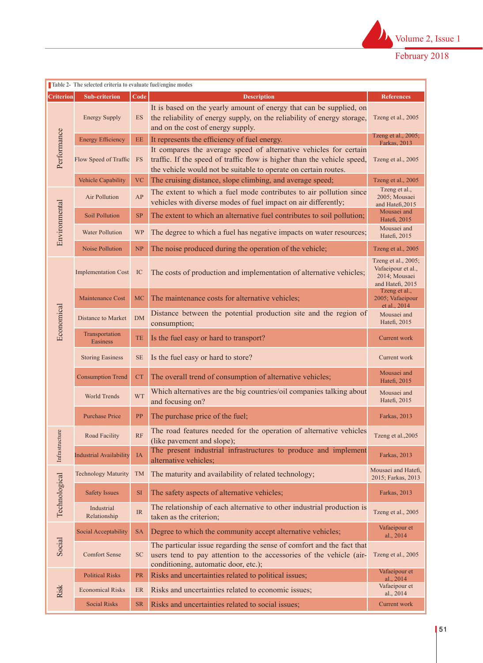

| Table 2- The selected criteria to evaluate fuel/engine modes |                                |                                       |                                                                                                                                                                                                                 |                                                                                |  |  |  |  |
|--------------------------------------------------------------|--------------------------------|---------------------------------------|-----------------------------------------------------------------------------------------------------------------------------------------------------------------------------------------------------------------|--------------------------------------------------------------------------------|--|--|--|--|
| <b>Criterion</b>                                             | <b>Sub-criterion</b>           | Code                                  | <b>Description</b>                                                                                                                                                                                              | <b>References</b>                                                              |  |  |  |  |
|                                                              | <b>Energy Supply</b>           | ES                                    | It is based on the yearly amount of energy that can be supplied, on<br>the reliability of energy supply, on the reliability of energy storage,<br>and on the cost of energy supply.                             | Tzeng et al., 2005                                                             |  |  |  |  |
|                                                              | <b>Energy Efficiency</b>       | EE                                    | It represents the efficiency of fuel energy.                                                                                                                                                                    | Tzeng et al., $2005$ ;<br>Farkas, 2013                                         |  |  |  |  |
| Performance                                                  | Flow Speed of Traffic          | <b>FS</b>                             | It compares the average speed of alternative vehicles for certain<br>traffic. If the speed of traffic flow is higher than the vehicle speed,<br>the vehicle would not be suitable to operate on certain routes. | Tzeng et al., 2005                                                             |  |  |  |  |
|                                                              | <b>Vehicle Capability</b>      | <b>VC</b>                             | The cruising distance, slope climbing, and average speed;                                                                                                                                                       | Tzeng et al., 2005                                                             |  |  |  |  |
|                                                              | Air Pollution                  | AP                                    | The extent to which a fuel mode contributes to air pollution since<br>vehicles with diverse modes of fuel impact on air differently;                                                                            | Tzeng et al.,<br>2005; Mousaei<br>and Hatefi, 2015                             |  |  |  |  |
|                                                              | Soil Pollution                 | <b>SP</b>                             | The extent to which an alternative fuel contributes to soil pollution;                                                                                                                                          | Mousaei and<br>Hatefi, 2015                                                    |  |  |  |  |
| Environmental                                                | <b>Water Pollution</b>         | WP                                    | The degree to which a fuel has negative impacts on water resources;                                                                                                                                             | Mousaei and<br>Hatefi, 2015                                                    |  |  |  |  |
|                                                              | <b>Noise Pollution</b>         | NP                                    | The noise produced during the operation of the vehicle;                                                                                                                                                         | Tzeng et al., 2005                                                             |  |  |  |  |
|                                                              | <b>Implementation Cost</b>     | IC                                    | The costs of production and implementation of alternative vehicles;                                                                                                                                             | Tzeng et al., 2005;<br>Vafaeipour et al.,<br>2014; Mousaei<br>and Hatefi, 2015 |  |  |  |  |
|                                                              | Maintenance Cost               | <b>MC</b>                             | The maintenance costs for alternative vehicles;                                                                                                                                                                 | Tzeng et al.,<br>2005; Vafaeipour<br>et al., 2014                              |  |  |  |  |
| Economical                                                   | <b>Distance to Market</b>      | DM                                    | Distance between the potential production site and the region of<br>consumption;                                                                                                                                | Mousaei and<br>Hatefi, 2015                                                    |  |  |  |  |
|                                                              | Transportation<br>Easiness     | TE                                    | Is the fuel easy or hard to transport?                                                                                                                                                                          | Current work                                                                   |  |  |  |  |
|                                                              | <b>Storing Easiness</b>        | <b>SE</b>                             | Is the fuel easy or hard to store?                                                                                                                                                                              | Current work                                                                   |  |  |  |  |
|                                                              | <b>Consumption Trend</b>       | <b>CT</b>                             | The overall trend of consumption of alternative vehicles;                                                                                                                                                       | Mousaei and<br>Hatefi, 2015                                                    |  |  |  |  |
|                                                              | World Trends                   | <b>WT</b>                             | Which alternatives are the big countries/oil companies talking about<br>and focusing on?                                                                                                                        | Mousaei and<br>Hatefi, 2015                                                    |  |  |  |  |
|                                                              | <b>Purchase Price</b>          | PP<br>The purchase price of the fuel; |                                                                                                                                                                                                                 |                                                                                |  |  |  |  |
| Infrastructure                                               | Road Facility                  | RF                                    | The road features needed for the operation of alternative vehicles<br>(like pavement and slope);                                                                                                                | Tzeng et al., 2005                                                             |  |  |  |  |
|                                                              | <b>Industrial Availability</b> | <b>IA</b>                             | The present industrial infrastructures to produce and implement<br>alternative vehicles;                                                                                                                        | Farkas, 2013                                                                   |  |  |  |  |
|                                                              | <b>Technology Maturity</b>     | <b>TM</b>                             | Mousaei and Hatefi,<br>2015; Farkas, 2013                                                                                                                                                                       |                                                                                |  |  |  |  |
| Technological                                                | <b>Safety Issues</b>           | <b>SI</b>                             | The safety aspects of alternative vehicles;                                                                                                                                                                     | Farkas, 2013                                                                   |  |  |  |  |
|                                                              | Industrial<br>Relationship     | <b>IR</b>                             | The relationship of each alternative to other industrial production is<br>taken as the criterion;                                                                                                               | Tzeng et al., 2005                                                             |  |  |  |  |
|                                                              | Social Acceptability           | <b>SA</b>                             | Degree to which the community accept alternative vehicles;                                                                                                                                                      | Vafaeipour et<br>al., 2014                                                     |  |  |  |  |
| Social                                                       | <b>Comfort Sense</b>           | <b>SC</b>                             | The particular issue regarding the sense of comfort and the fact that<br>users tend to pay attention to the accessories of the vehicle (air-<br>conditioning, automatic door, etc.);                            | Tzeng et al., 2005                                                             |  |  |  |  |
|                                                              | <b>Political Risks</b>         | <b>PR</b>                             | Risks and uncertainties related to political issues;                                                                                                                                                            | Vafaeipour et<br>al., $2014$                                                   |  |  |  |  |
| Risk                                                         | <b>Economical Risks</b>        | ER                                    | Risks and uncertainties related to economic issues;                                                                                                                                                             | Vafaeipour et<br>al., 2014                                                     |  |  |  |  |
|                                                              | <b>Social Risks</b>            | <b>SR</b>                             | Risks and uncertainties related to social issues;                                                                                                                                                               | Current work                                                                   |  |  |  |  |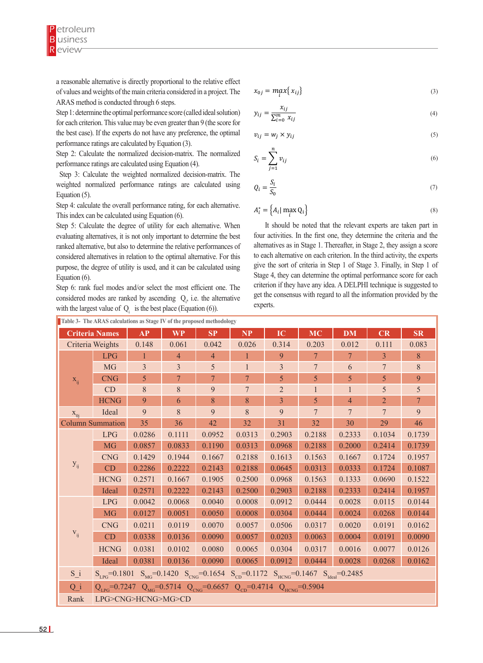a reasonable alternative is directly proportional to the relative effect of values and weights of the main criteria considered in a project. The ARAS method is conducted through 6 steps.

Step 1: determine the optimal performance score (called ideal solution) for each criterion. This value may be even greater than 9 (the score for the best case). If the experts do not have any preference, the optimal performance ratings are calculated by Equation (3).

Step 2: Calculate the normalized decision-matrix. The normalized performance ratings are calculated using Equation (4).

 Step 3: Calculate the weighted normalized decision-matrix. The weighted normalized performance ratings are calculated using Equation (5).

Step 4: calculate the overall performance rating, for each alternative. This index can be calculated using Equation (6).

Step 5: Calculate the degree of utility for each alternative. When evaluating alternatives, it is not only important to determine the best ranked alternative, but also to determine the relative performances of considered alternatives in relation to the optimal alternative. For this purpose, the degree of utility is used, and it can be calculated using Equation (6).

Step 6: rank fuel modes and/or select the most efficient one. The considered modes are ranked by ascending  $Q_i$ , i.e. the alternative with the largest value of  $Q_i$  is the best place (Equation (6)).

$$
x_{0j} = \max_{i} \{ x_{ij} \} \tag{3}
$$

$$
y_{ij} = \frac{x_{ij}}{\sum_{i=0}^{m} x_{ij}}\tag{4}
$$

$$
v_{ij} = w_j \times y_{ij} \tag{5}
$$

$$
S_i = \sum_{j=1}^n v_{ij} \tag{6}
$$

$$
Q_i = \frac{S_i}{S_0} \tag{7}
$$

$$
A_i^* = \left\{ A_i \mid \max_i Q_i \right\} \tag{8}
$$

It should be noted that the relevant experts are taken part in the first one, the first one, the first one, the first one, then the first one, then the first one, the first one, then the first one, then the first one, the alternatives as in Stage 1. Thereafter, in Stage 2, they assign a score to each alternative on each criterion. In the third activity, the experts give the sort of criteria in Step 1 of Stage 3. Finally, in Step 1 of Stage 4, they can determine the optimal performance score for each  $\epsilon$  experts. four activities. In the first one, they determine the criteria and the criterion if they have any idea. A DELPHI technique is suggested to get the consensus with regard to all the information provided by the

| Table 3- The ARAS calculations as Stage IV of the proposed methodology |                                                                                                               |                |                                                                                                                    |                        |                |                |                 |                 |                |                |
|------------------------------------------------------------------------|---------------------------------------------------------------------------------------------------------------|----------------|--------------------------------------------------------------------------------------------------------------------|------------------------|----------------|----------------|-----------------|-----------------|----------------|----------------|
|                                                                        | <b>Criteria Names</b>                                                                                         | AP             | <b>WP</b>                                                                                                          | $\mathbf{S}\mathbf{P}$ | NP             | IC             | <b>MC</b>       | <b>DM</b>       | CR             | SR             |
|                                                                        | Criteria Weights                                                                                              | 0.148          | 0.061                                                                                                              | 0.042                  | 0.026          | 0.314          | 0.203           | 0.012           | 0.111          | 0.083          |
|                                                                        | <b>LPG</b>                                                                                                    |                | 4                                                                                                                  | $\overline{4}$         |                | 9              | 7               | $\overline{7}$  | $\overline{3}$ | $\,8\,$        |
|                                                                        | <b>MG</b>                                                                                                     | $\overline{3}$ | $\mathfrak{Z}$                                                                                                     | 5                      |                | $\overline{3}$ | $7\phantom{.0}$ | 6               | $\overline{7}$ | $\,8\,$        |
| $X_{ii}$                                                               | <b>CNG</b>                                                                                                    | 5              | $7\phantom{.0}$                                                                                                    | $\overline{7}$         | $\tau$         | 5              | 5               | 5               | 5              | 9              |
|                                                                        | CD                                                                                                            | $\,8\,$        | 8                                                                                                                  | 9                      | $\overline{7}$ | $\overline{2}$ |                 |                 | 5              | 5              |
|                                                                        | <b>HCNG</b>                                                                                                   | 9              | 6                                                                                                                  | 8                      | 8              | 3              | 5               | $\overline{4}$  | $\overline{2}$ | $\overline{7}$ |
| $X_{0i}$                                                               | Ideal                                                                                                         | 9              | $8\,$                                                                                                              | 9                      | 8              | 9              | $\overline{7}$  | $7\overline{ }$ | $\overline{7}$ | 9              |
|                                                                        | <b>Column Summation</b>                                                                                       |                | 36                                                                                                                 | 42                     | 32             | 31             | 32              | 30              | 29             | 46             |
|                                                                        | <b>LPG</b>                                                                                                    | 0.0286         | 0.1111                                                                                                             | 0.0952                 | 0.0313         | 0.2903         | 0.2188          | 0.2333          | 0.1034         | 0.1739         |
|                                                                        | <b>MG</b>                                                                                                     | 0.0857         | 0.0833                                                                                                             | 0.1190                 | 0.0313         | 0.0968         | 0.2188          | 0.2000          | 0.2414         | 0.1739         |
|                                                                        | <b>CNG</b>                                                                                                    | 0.1429         | 0.1944                                                                                                             | 0.1667                 | 0.2188         | 0.1613         | 0.1563          | 0.1667          | 0.1724         | 0.1957         |
| $y_{ij}$                                                               | CD                                                                                                            | 0.2286         | 0.2222                                                                                                             | 0.2143                 | 0.2188         | 0.0645         | 0.0313          | 0.0333          | 0.1724         | 0.1087         |
|                                                                        | <b>HCNG</b>                                                                                                   | 0.2571         | 0.1667                                                                                                             | 0.1905                 | 0.2500         | 0.0968         | 0.1563          | 0.1333          | 0.0690         | 0.1522         |
|                                                                        | Ideal                                                                                                         | 0.2571         | 0.2222                                                                                                             | 0.2143                 | 0.2500         | 0.2903         | 0.2188          | 0.2333          | 0.2414         | 0.1957         |
|                                                                        | <b>LPG</b>                                                                                                    | 0.0042         | 0.0068                                                                                                             | 0.0040                 | 0.0008         | 0.0912         | 0.0444          | 0.0028          | 0.0115         | 0.0144         |
|                                                                        | <b>MG</b>                                                                                                     | 0.0127         | 0.0051                                                                                                             | 0.0050                 | 0.0008         | 0.0304         | 0.0444          | 0.0024          | 0.0268         | 0.0144         |
|                                                                        | <b>CNG</b>                                                                                                    | 0.0211         | 0.0119                                                                                                             | 0.0070                 | 0.0057         | 0.0506         | 0.0317          | 0.0020          | 0.0191         | 0.0162         |
| $\mathbf{V}_{ij}$                                                      | CD                                                                                                            | 0.0338         | 0.0136                                                                                                             | 0.0090                 | 0.0057         | 0.0203         | 0.0063          | 0.0004          | 0.0191         | 0.0090         |
|                                                                        | <b>HCNG</b>                                                                                                   | 0.0381         | 0.0102                                                                                                             | 0.0080                 | 0.0065         | 0.0304         | 0.0317          | 0.0016          | 0.0077         | 0.0126         |
|                                                                        | Ideal                                                                                                         | 0.0381         | 0.0136                                                                                                             | 0.0090                 | 0.0065         | 0.0912         | 0.0444          | 0.0028          | 0.0268         | 0.0162         |
| $S_i$                                                                  |                                                                                                               |                | $S_{LPG} = 0.1801$ $S_{MG} = 0.1420$ $S_{CNG} = 0.1654$ $S_{CD} = 0.1172$ $S_{HCNG} = 0.1467$ $S_{Ideal} = 0.2485$ |                        |                |                |                 |                 |                |                |
| $Q_i$                                                                  | $Q_{CPG} = 0.7247 \quad Q_{MG} = 0.5714 \quad Q_{CNG} = 0.6657 \quad Q_{CD} = 0.4714 \quad Q_{HCNG} = 0.5904$ |                |                                                                                                                    |                        |                |                |                 |                 |                |                |
| Rank                                                                   | LPG>CNG>HCNG>MG>CD                                                                                            |                |                                                                                                                    |                        |                |                |                 |                 |                |                |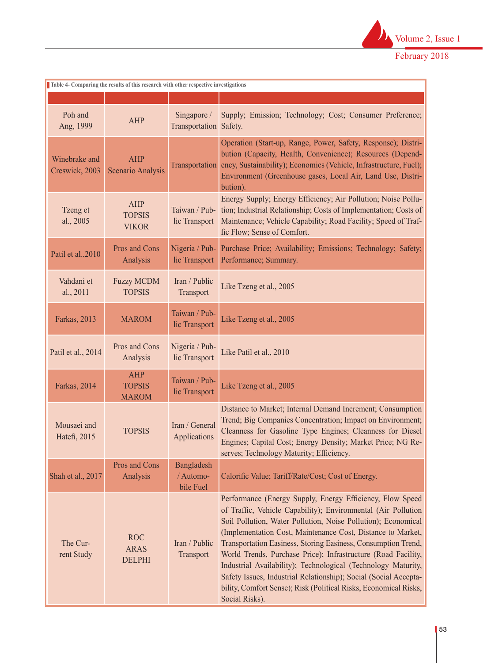

| Table 4- Comparing the results of this research with other respective investigations |                                             |                                       |                                                                                                                                                                                                                                                                                                                                                                                                                                                                                                                                                                                                                         |  |  |  |  |  |  |
|--------------------------------------------------------------------------------------|---------------------------------------------|---------------------------------------|-------------------------------------------------------------------------------------------------------------------------------------------------------------------------------------------------------------------------------------------------------------------------------------------------------------------------------------------------------------------------------------------------------------------------------------------------------------------------------------------------------------------------------------------------------------------------------------------------------------------------|--|--|--|--|--|--|
|                                                                                      |                                             |                                       |                                                                                                                                                                                                                                                                                                                                                                                                                                                                                                                                                                                                                         |  |  |  |  |  |  |
| Poh and<br>Ang, 1999                                                                 | <b>AHP</b>                                  | Singapore /<br>Transportation Safety. | Supply; Emission; Technology; Cost; Consumer Preference;                                                                                                                                                                                                                                                                                                                                                                                                                                                                                                                                                                |  |  |  |  |  |  |
| Winebrake and<br>Creswick, 2003                                                      | <b>AHP</b><br>Scenario Analysis             | Transportation                        | Operation (Start-up, Range, Power, Safety, Response); Distri-<br>bution (Capacity, Health, Convenience); Resources (Depend-<br>ency, Sustainability); Economics (Vehicle, Infrastructure, Fuel);<br>Environment (Greenhouse gases, Local Air, Land Use, Distri-<br>bution).                                                                                                                                                                                                                                                                                                                                             |  |  |  |  |  |  |
| Tzeng et<br>al., 2005                                                                | <b>AHP</b><br><b>TOPSIS</b><br><b>VIKOR</b> | Taiwan / Pub-<br>lic Transport        | Energy Supply; Energy Efficiency; Air Pollution; Noise Pollu-<br>tion; Industrial Relationship; Costs of Implementation; Costs of<br>Maintenance; Vehicle Capability; Road Facility; Speed of Traf-<br>fic Flow; Sense of Comfort.                                                                                                                                                                                                                                                                                                                                                                                      |  |  |  |  |  |  |
| Patil et al., 2010                                                                   | Pros and Cons<br>Analysis                   | Nigeria / Pub-<br>lic Transport       | Purchase Price; Availability; Emissions; Technology; Safety;<br>Performance; Summary.                                                                                                                                                                                                                                                                                                                                                                                                                                                                                                                                   |  |  |  |  |  |  |
| Vahdani et<br>al., 2011                                                              | <b>Fuzzy MCDM</b><br><b>TOPSIS</b>          | Iran / Public<br>Transport            | Like Tzeng et al., 2005                                                                                                                                                                                                                                                                                                                                                                                                                                                                                                                                                                                                 |  |  |  |  |  |  |
| Farkas, 2013                                                                         | <b>MAROM</b>                                | Taiwan / Pub-<br>lic Transport        | Like Tzeng et al., 2005                                                                                                                                                                                                                                                                                                                                                                                                                                                                                                                                                                                                 |  |  |  |  |  |  |
| Patil et al., 2014                                                                   | Pros and Cons<br>Analysis                   | Nigeria / Pub-<br>lic Transport       | Like Patil et al., 2010                                                                                                                                                                                                                                                                                                                                                                                                                                                                                                                                                                                                 |  |  |  |  |  |  |
| Farkas, 2014                                                                         | <b>AHP</b><br><b>TOPSIS</b><br><b>MAROM</b> | Taiwan / Pub-<br>lic Transport        | Like Tzeng et al., 2005                                                                                                                                                                                                                                                                                                                                                                                                                                                                                                                                                                                                 |  |  |  |  |  |  |
| Mousaei and<br>Hatefi, 2015                                                          | <b>TOPSIS</b>                               | Iran / General<br><b>Applications</b> | Distance to Market; Internal Demand Increment; Consumption<br>Trend; Big Companies Concentration; Impact on Environment;<br>Cleanness for Gasoline Type Engines; Cleanness for Diesel<br>Engines; Capital Cost; Energy Density; Market Price; NG Re-<br>serves; Technology Maturity; Efficiency.                                                                                                                                                                                                                                                                                                                        |  |  |  |  |  |  |
| Shah et al., 2017                                                                    | Pros and Cons<br>Analysis                   | Bangladesh<br>/ Automo-<br>bile Fuel  | Calorific Value; Tariff/Rate/Cost; Cost of Energy.                                                                                                                                                                                                                                                                                                                                                                                                                                                                                                                                                                      |  |  |  |  |  |  |
| The Cur-<br>rent Study                                                               | <b>ROC</b><br><b>ARAS</b><br><b>DELPHI</b>  | Iran / Public<br>Transport            | Performance (Energy Supply, Energy Efficiency, Flow Speed<br>of Traffic, Vehicle Capability); Environmental (Air Pollution<br>Soil Pollution, Water Pollution, Noise Pollution); Economical<br>(Implementation Cost, Maintenance Cost, Distance to Market,<br>Transportation Easiness, Storing Easiness, Consumption Trend,<br>World Trends, Purchase Price); Infrastructure (Road Facility,<br>Industrial Availability); Technological (Technology Maturity,<br>Safety Issues, Industrial Relationship); Social (Social Accepta-<br>bility, Comfort Sense); Risk (Political Risks, Economical Risks,<br>Social Risks). |  |  |  |  |  |  |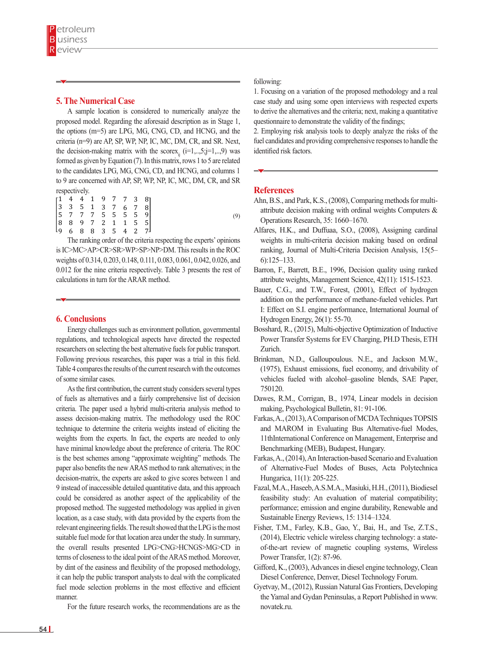## **5. The Numerical Case 5. The Numerical Case**

A sample location is considered to numerically analyze the proposed model. Regarding the aforesaid description as in Stage 1, questionnaire to demonstrate the v the options (m=5) are LPG, MG, CNG, CD, and HCNG, and the 2. Employing risk analysis tools criteria (n=9) are AP, SP, WP, NP, IC, MC, DM, CR, and SR. Next, the decision-making matrix with the scorex<sub>ij</sub> ( $i=1,..,5; j=1,..,9$ ) was identified risk factors. formed as given by Equation  $(7)$ . In this matrix, rows 1 to 5 are related to the candidates LPG, MG, CNG, CD, and HCNG, and columns  $1 \rightarrow \infty$ to 9 are concerned with AP, SP, WP, NP, IC, MC, DM, CR, and SR respectively.

criterion. In the third activity, the experts give the sort of criteria in Step 1 of Stage 3. Finally, in Step 1 of

|  |  |  |  | $\begin{bmatrix} 1 & 4 & 4 & 1 & 9 & 7 & 7 & 3 & 8 \\ 3 & 3 & 5 & 1 & 3 & 7 & 6 & 7 & 8 \\ 5 & 7 & 7 & 7 & 5 & 5 & 5 & 5 & 9 \\ 8 & 8 & 9 & 7 & 2 & 1 & 1 & 5 & 5 \\ 9 & 6 & 8 & 8 & 3 & 5 & 4 & 2 & 7 \end{bmatrix}$<br>$4 \quad 2 \quad 7$ |
|--|--|--|--|----------------------------------------------------------------------------------------------------------------------------------------------------------------------------------------------------------------------------------------------|
|  |  |  |  |                                                                                                                                                                                                                                              |

is IC>MC>AP>CR>SR>WP>SP>NP>DM. This results in the ROC ranking, Journal of Multi-Cr weights of 0.314, 0.203, 0.148, 0.111, 0.083, 0.061, 0.042, 0.026, and <br>
6):125–133.  $0.012$  for the nine criteria respectively. Table 3 presents the rest of Barron, F., Barrett, The ranking order of the criteria respecting the experts' opinions calculations in turn for the ARAR method.

#### **6. Conclusions**

Energy challenges such as environment pollution, governmental Bosshard, R., (2015), Multi regulations, and technological aspects have directed the respected **Power Transfer Systems** i researchers on selecting the best alternative fuels for public transport. Following previous researches, this paper was a trial in this field. Table 4 compares the results of the current research with the outcomes of some similar cases.

As the first contribution, the current study considers several types of fuels as alternatives and a fairly comprehensive list of decision criteria. The paper used a hybrid multi-criteria analysis method to assess decision-making matrix. The methodology used the ROC technique to determine the criteria weights instead of eliciting the weights from the experts. In fact, the experts are needed to only have minimal knowledge about the preference of criteria. The ROC is the best schemes among "approximate weighting" methods. The paper also benefits the new ARAS method to rank alternatives; in the decision-matrix, the experts are asked to give scores between 1 and 9 instead of inaccessible detailed quantitative data, and this approach could be considered as another aspect of the applicability of the proposed method. The suggested methodology was applied in given location, as a case study, with data provided by the experts from the relevant engineering fields. The result showed that the LPG is the most suitable fuel mode for that location area under the study. In summary, the overall results presented LPG>CNG>HCNGS>MG>CD in terms of closeness to the ideal point of the ARAS method. Moreover, by dint of the easiness and flexibility of the proposed methodology, it can help the public transport analysts to deal with the complicated fuel mode selection problems in the most effective and efficient manner.

For the future research works, the recommendations are as the

#### $\sim$  following: following:

1. Focusing on a variation of the proposed methodology and a real case study and using some open interviews with respected experts to derive the alternatives and the criteria; next, making a quantitative questionnaire to demonstrate the validity of the findings;

2. Employing risk analysis tools to deeply analyze the risks of the fuel candidates and providing comprehensive responses to handle the identified risk factors.

#### **References**

(9)

- Ahn, B.S., and Park, K.S., (2008), Comparing methods for multiattribute decision making with ordinal weights Computers & Operations Research, 35: 1660–1670.
- Alfares, H.K., and Duffuaa, S.O., (2008), Assigning cardinal weights in multi-criteria decision making based on ordinal ranking, Journal of Multi-Criteria Decision Analysis, 15(5– 6):125–133.
- Barron, F., Barrett, B.E., 1996, Decision quality using ranked attribute weights, Management Science, 42(11): 1515-1523.
- Bauer, C.G., and T.W., Forest, (2001), Effect of hydrogen addition on the performance of methane-fueled vehicles. Part I: Effect on S.I. engine performance, International Journal of **clusions**  $Hydrogen Energy, 26(1): 55-70.$ 
	- Bosshard, R., (2015), Multi-objective Optimization of Inductive Power Transfer Systems for EV Charging, PH.D Thesis, ETH Zurich.
	- Brinkman, N.D., Galloupoulous. N.E., and Jackson M.W., (1975), Exhaust emissions, fuel economy, and drivability of vehicles fueled with alcohol–gasoline blends, SAE Paper, 750120.
	- Dawes, R.M., Corrigan, B., 1974, Linear models in decision making, Psychological Bulletin, 81: 91-106.
	- Farkas, A., (2013), A Comparison of MCDA Techniques TOPSIS and MAROM in Evaluating Bus Alternative-fuel Modes, 11thInternational Conference on Management, Enterprise and Benchmarking (MEB), Budapest, Hungary.
	- Farkas, A., (2014), An Interaction-based Scenario and Evaluation of Alternative-Fuel Modes of Buses, Acta Polytechnica Hungarica, 11(1): 205-225.
	- Fazal, M.A., Haseeb, A.S.M.A., Masiuki, H.H., (2011), Biodiesel feasibility study: An evaluation of material compatibility; performance; emission and engine durability, Renewable and Sustainable Energy Reviews, 15: 1314–1324.
	- Fisher, T.M., Farley, K.B., Gao, Y., Bai, H., and Tse, Z.T.S., (2014), Electric vehicle wireless charging technology: a stateof-the-art review of magnetic coupling systems, Wireless Power Transfer, 1(2): 87-96.
	- Gifford, K., (2003), Advances in diesel engine technology, Clean Diesel Conference, Denver, Diesel Technology Forum.
	- Gyetvay, M., (2012), Russian Natural Gas Frontiers, Developing the Yamal and Gydan Peninsulas, a Report Published in www. novatek.ru.